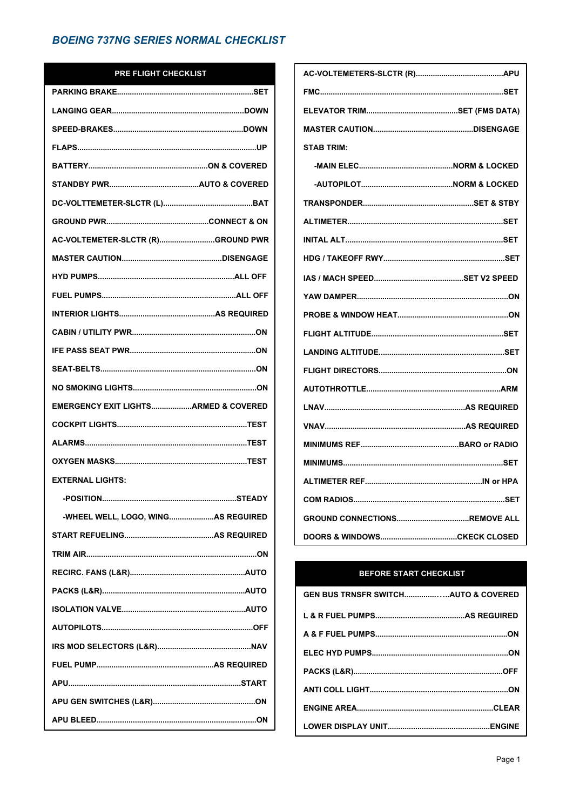#### PRE FLIGHT CHECKLIST

| AC-VOLTEMETER-SLCTR (R)GROUND PWR    |  |
|--------------------------------------|--|
|                                      |  |
|                                      |  |
|                                      |  |
|                                      |  |
|                                      |  |
|                                      |  |
|                                      |  |
|                                      |  |
| EMERGENCY EXIT LIGHTSARMED & COVERED |  |
|                                      |  |
|                                      |  |
|                                      |  |
| <b>EXTERNAL LIGHTS:</b>              |  |
|                                      |  |
| -WHEEL WELL, LOGO, WINGAS REGUIRED   |  |
|                                      |  |
|                                      |  |
|                                      |  |
|                                      |  |
|                                      |  |
|                                      |  |
|                                      |  |
|                                      |  |
|                                      |  |
|                                      |  |
|                                      |  |

| <b>STAB TRIM:</b> |  |
|-------------------|--|
|                   |  |
|                   |  |
|                   |  |
|                   |  |
|                   |  |
|                   |  |
|                   |  |
|                   |  |
|                   |  |
|                   |  |
|                   |  |
|                   |  |
|                   |  |
|                   |  |
|                   |  |
|                   |  |
|                   |  |
|                   |  |
|                   |  |
|                   |  |
|                   |  |

### **BEFORE START CHECKLIST**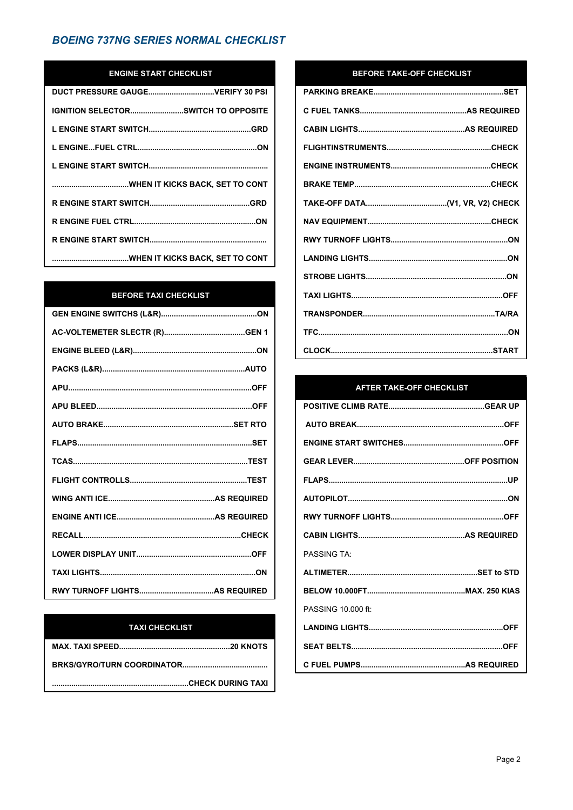## **ENGINE START CHECKLIST**

| <b>IGNITION SELECTORSWITCH TO OPPOSITE</b> |
|--------------------------------------------|
|                                            |
|                                            |
|                                            |
|                                            |
|                                            |
|                                            |
|                                            |
|                                            |

### **BEFORE TAXI CHECKLIST**

## **TAXI CHECKLIST**

#### BEFORE TAKE-OFF CHECKLIST

#### **AFTER TAKE-OFF CHECKLIST**

| <b>PASSING TA</b>  |  |
|--------------------|--|
|                    |  |
|                    |  |
| PASSING 10,000 ft: |  |
|                    |  |
|                    |  |
|                    |  |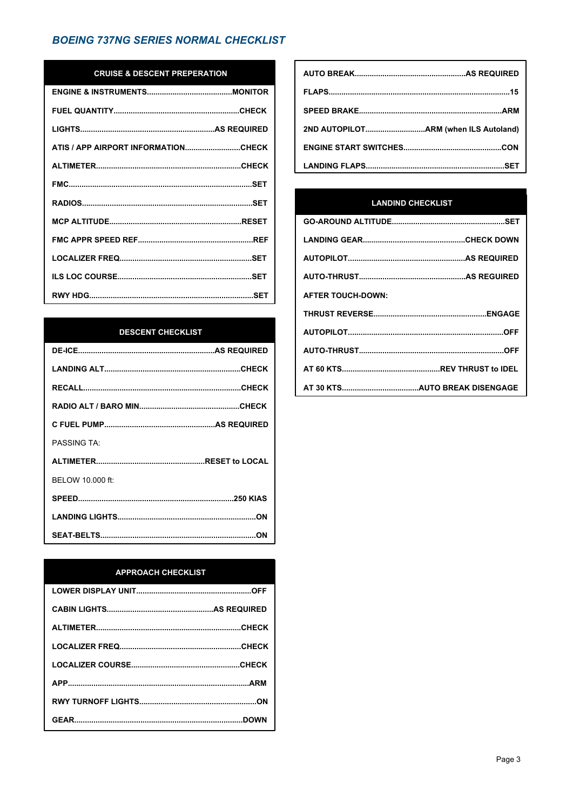## **CRUISE & DESCENT PREPERATION**

| ATIS / APP AIRPORT INFORMATIONCHECK |
|-------------------------------------|
|                                     |
|                                     |
|                                     |
|                                     |
|                                     |
|                                     |
|                                     |
|                                     |

#### **DESCENT CHECKLIST**

| <b>PASSING TA:</b> |  |
|--------------------|--|
|                    |  |
| BELOW 10,000 ft:   |  |
|                    |  |
|                    |  |
|                    |  |

#### **APPROACH CHECKLIST**

## **LANDIND CHECKLIST**

| <b>AFTER TOUCH-DOWN:</b> |  |
|--------------------------|--|
|                          |  |
|                          |  |
|                          |  |
|                          |  |
|                          |  |